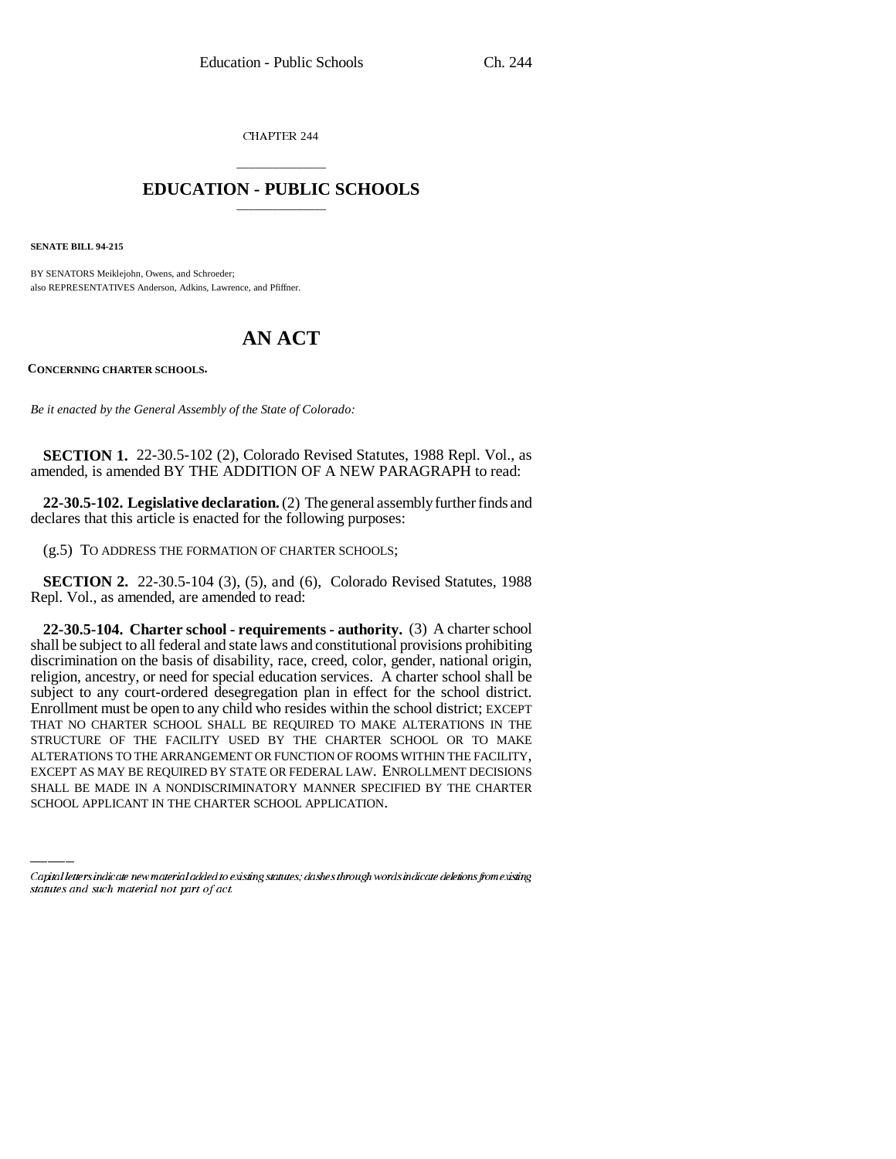CHAPTER 244

## \_\_\_\_\_\_\_\_\_\_\_\_\_\_\_ **EDUCATION - PUBLIC SCHOOLS** \_\_\_\_\_\_\_\_\_\_\_\_\_\_\_

**SENATE BILL 94-215**

BY SENATORS Meiklejohn, Owens, and Schroeder; also REPRESENTATIVES Anderson, Adkins, Lawrence, and Pfiffner.

## **AN ACT**

**CONCERNING CHARTER SCHOOLS.**

*Be it enacted by the General Assembly of the State of Colorado:*

**SECTION 1.** 22-30.5-102 (2), Colorado Revised Statutes, 1988 Repl. Vol., as amended, is amended BY THE ADDITION OF A NEW PARAGRAPH to read:

**22-30.5-102. Legislative declaration.** (2) The general assembly further finds and declares that this article is enacted for the following purposes:

(g.5) TO ADDRESS THE FORMATION OF CHARTER SCHOOLS;

**SECTION 2.** 22-30.5-104 (3), (5), and (6), Colorado Revised Statutes, 1988 Repl. Vol., as amended, are amended to read:

ALTERATIONS TO THE ARRANGEMENT OR FUNCTION OF ROOMS WITHIN THE FACILITY, **22-30.5-104. Charter school - requirements - authority.** (3) A charter school shall be subject to all federal and state laws and constitutional provisions prohibiting discrimination on the basis of disability, race, creed, color, gender, national origin, religion, ancestry, or need for special education services. A charter school shall be subject to any court-ordered desegregation plan in effect for the school district. Enrollment must be open to any child who resides within the school district; EXCEPT THAT NO CHARTER SCHOOL SHALL BE REQUIRED TO MAKE ALTERATIONS IN THE STRUCTURE OF THE FACILITY USED BY THE CHARTER SCHOOL OR TO MAKE EXCEPT AS MAY BE REQUIRED BY STATE OR FEDERAL LAW. ENROLLMENT DECISIONS SHALL BE MADE IN A NONDISCRIMINATORY MANNER SPECIFIED BY THE CHARTER SCHOOL APPLICANT IN THE CHARTER SCHOOL APPLICATION.

Capital letters indicate new material added to existing statutes; dashes through words indicate deletions from existing statutes and such material not part of act.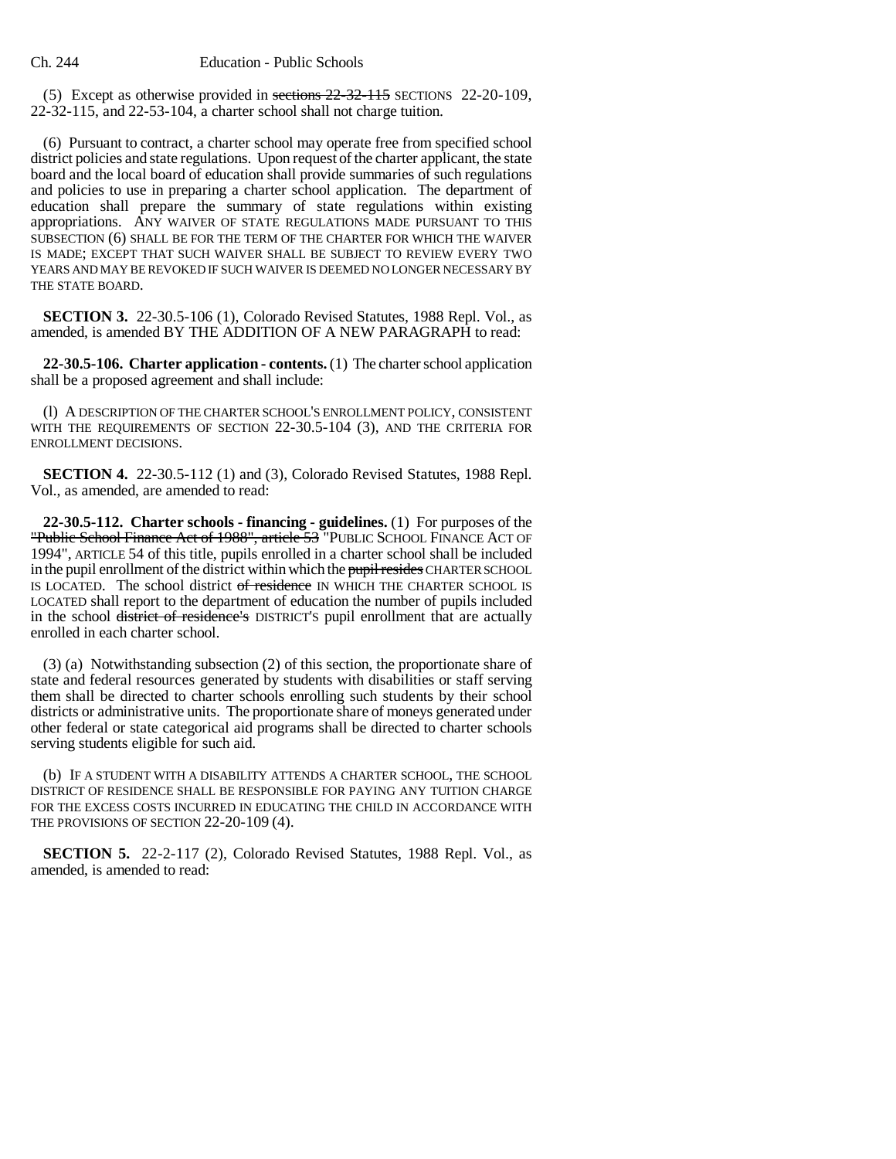(5) Except as otherwise provided in sections 22-32-115 SECTIONS 22-20-109, 22-32-115, and 22-53-104, a charter school shall not charge tuition.

(6) Pursuant to contract, a charter school may operate free from specified school district policies and state regulations. Upon request of the charter applicant, the state board and the local board of education shall provide summaries of such regulations and policies to use in preparing a charter school application. The department of education shall prepare the summary of state regulations within existing appropriations. ANY WAIVER OF STATE REGULATIONS MADE PURSUANT TO THIS SUBSECTION (6) SHALL BE FOR THE TERM OF THE CHARTER FOR WHICH THE WAIVER IS MADE; EXCEPT THAT SUCH WAIVER SHALL BE SUBJECT TO REVIEW EVERY TWO YEARS AND MAY BE REVOKED IF SUCH WAIVER IS DEEMED NO LONGER NECESSARY BY THE STATE BOARD.

**SECTION 3.** 22-30.5-106 (1), Colorado Revised Statutes, 1988 Repl. Vol., as amended, is amended BY THE ADDITION OF A NEW PARAGRAPH to read:

**22-30.5-106. Charter application - contents.** (1) The charter school application shall be a proposed agreement and shall include:

(l) A DESCRIPTION OF THE CHARTER SCHOOL'S ENROLLMENT POLICY, CONSISTENT WITH THE REQUIREMENTS OF SECTION 22-30.5-104 (3), AND THE CRITERIA FOR ENROLLMENT DECISIONS.

**SECTION 4.** 22-30.5-112 (1) and (3), Colorado Revised Statutes, 1988 Repl. Vol., as amended, are amended to read:

**22-30.5-112. Charter schools - financing - guidelines.** (1) For purposes of the "Public School Finance Act of 1988", article 53 "PUBLIC SCHOOL FINANCE ACT OF 1994", ARTICLE 54 of this title, pupils enrolled in a charter school shall be included in the pupil enrollment of the district within which the pupil resides CHARTER SCHOOL IS LOCATED. The school district of residence IN WHICH THE CHARTER SCHOOL IS LOCATED shall report to the department of education the number of pupils included in the school district of residence's DISTRICT'S pupil enrollment that are actually enrolled in each charter school.

(3) (a) Notwithstanding subsection (2) of this section, the proportionate share of state and federal resources generated by students with disabilities or staff serving them shall be directed to charter schools enrolling such students by their school districts or administrative units. The proportionate share of moneys generated under other federal or state categorical aid programs shall be directed to charter schools serving students eligible for such aid.

(b) IF A STUDENT WITH A DISABILITY ATTENDS A CHARTER SCHOOL, THE SCHOOL DISTRICT OF RESIDENCE SHALL BE RESPONSIBLE FOR PAYING ANY TUITION CHARGE FOR THE EXCESS COSTS INCURRED IN EDUCATING THE CHILD IN ACCORDANCE WITH THE PROVISIONS OF SECTION 22-20-109 (4).

**SECTION 5.** 22-2-117 (2), Colorado Revised Statutes, 1988 Repl. Vol., as amended, is amended to read: